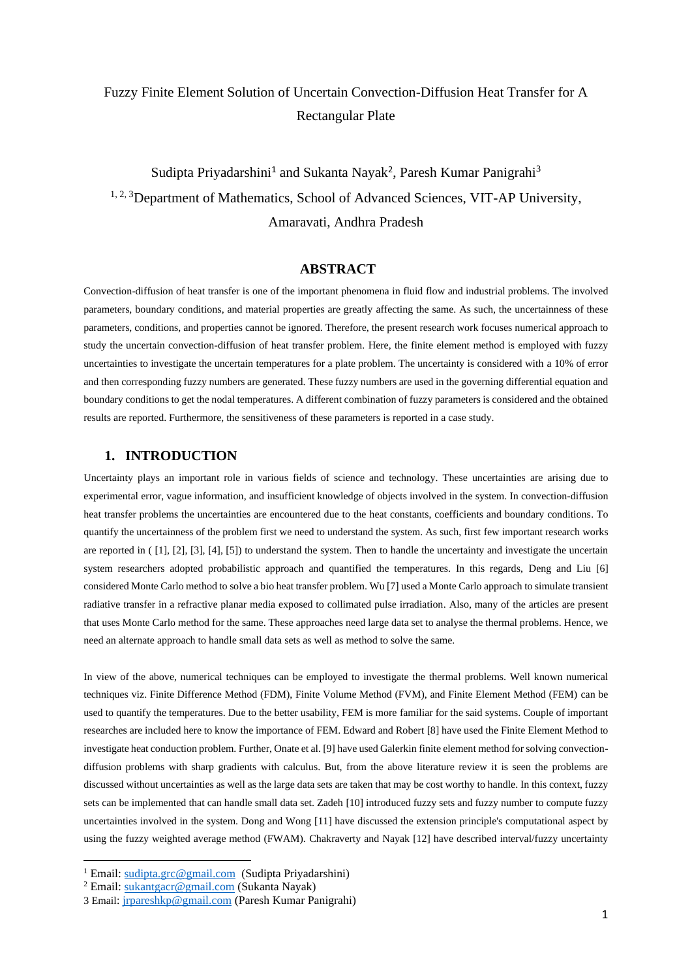# Fuzzy Finite Element Solution of Uncertain Convection-Diffusion Heat Transfer for A Rectangular Plate

Sudipta Priyadarshini<sup>1</sup> and Sukanta Nayak<sup>2</sup>, Paresh Kumar Panigrahi<sup>3</sup> <sup>1, 2, 3</sup>Department of Mathematics, School of Advanced Sciences, VIT-AP University, Amaravati, Andhra Pradesh

# **ABSTRACT**

Convection-diffusion of heat transfer is one of the important phenomena in fluid flow and industrial problems. The involved parameters, boundary conditions, and material properties are greatly affecting the same. As such, the uncertainness of these parameters, conditions, and properties cannot be ignored. Therefore, the present research work focuses numerical approach to study the uncertain convection-diffusion of heat transfer problem. Here, the finite element method is employed with fuzzy uncertainties to investigate the uncertain temperatures for a plate problem. The uncertainty is considered with a 10% of error and then corresponding fuzzy numbers are generated. These fuzzy numbers are used in the governing differential equation and boundary conditions to get the nodal temperatures. A different combination of fuzzy parameters is considered and the obtained results are reported. Furthermore, the sensitiveness of these parameters is reported in a case study.

# **1. INTRODUCTION**

Uncertainty plays an important role in various fields of science and technology. These uncertainties are arising due to experimental error, vague information, and insufficient knowledge of objects involved in the system. In convection-diffusion heat transfer problems the uncertainties are encountered due to the heat constants, coefficients and boundary conditions. To quantify the uncertainness of the problem first we need to understand the system. As such, first few important research works are reported in ( [1], [2], [3], [4], [5]) to understand the system. Then to handle the uncertainty and investigate the uncertain system researchers adopted probabilistic approach and quantified the temperatures. In this regards, Deng and Liu [6] considered Monte Carlo method to solve a bio heat transfer problem. Wu [7] used a Monte Carlo approach to simulate transient radiative transfer in a refractive planar media exposed to collimated pulse irradiation. Also, many of the articles are present that uses Monte Carlo method for the same. These approaches need large data set to analyse the thermal problems. Hence, we need an alternate approach to handle small data sets as well as method to solve the same.

In view of the above, numerical techniques can be employed to investigate the thermal problems. Well known numerical techniques viz. Finite Difference Method (FDM), Finite Volume Method (FVM), and Finite Element Method (FEM) can be used to quantify the temperatures. Due to the better usability, FEM is more familiar for the said systems. Couple of important researches are included here to know the importance of FEM. Edward and Robert [8] have used the Finite Element Method to investigate heat conduction problem. Further, Onate et al. [9] have used Galerkin finite element method for solving convectiondiffusion problems with sharp gradients with calculus. But, from the above literature review it is seen the problems are discussed without uncertainties as well as the large data sets are taken that may be cost worthy to handle. In this context, fuzzy sets can be implemented that can handle small data set. Zadeh [10] introduced fuzzy sets and fuzzy number to compute fuzzy uncertainties involved in the system. Dong and Wong [11] have discussed the extension principle's computational aspect by using the fuzzy weighted average method (FWAM). Chakraverty and Nayak [12] have described interval/fuzzy uncertainty

<sup>1</sup> Email: [sudipta.grc@gmail.com](mailto:sudipta.grc@gmail.com) (Sudipta Priyadarshini)

<sup>2</sup> Email: [sukantgacr@gmail.com](mailto:sukantgacr@gmail.com) (Sukanta Nayak)

<sup>3</sup> Email[: jrpareshkp@gmail.com](mailto:jrpareshkp@gmail.com) (Paresh Kumar Panigrahi)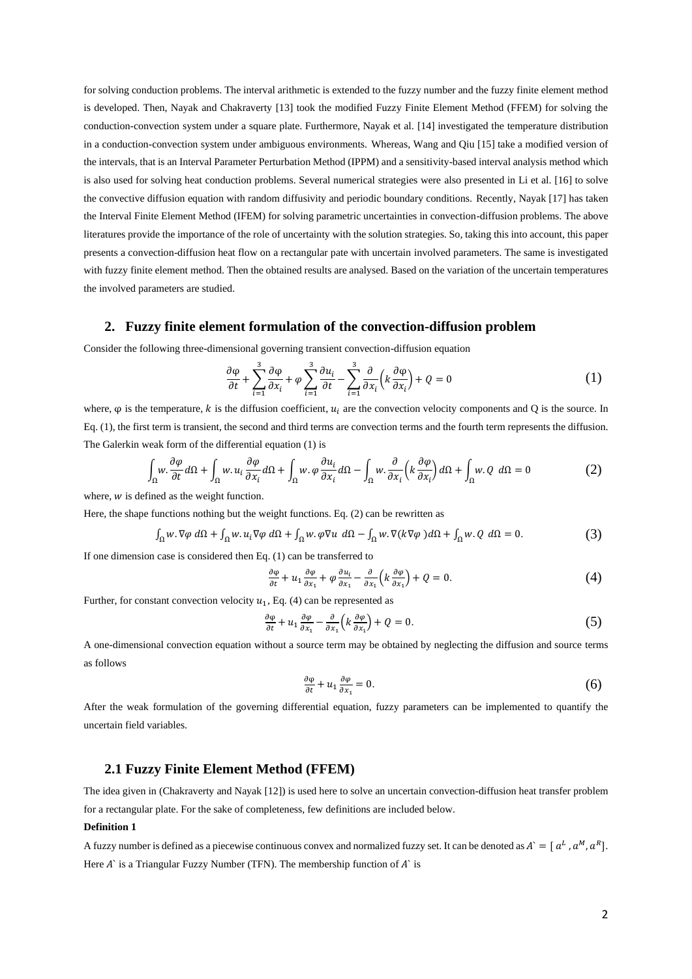for solving conduction problems. The interval arithmetic is extended to the fuzzy number and the fuzzy finite element method is developed. Then, Nayak and Chakraverty [13] took the modified Fuzzy Finite Element Method (FFEM) for solving the conduction-convection system under a square plate. Furthermore, Nayak et al. [14] investigated the temperature distribution in a conduction-convection system under ambiguous environments. Whereas, Wang and Qiu [15] take a modified version of the intervals, that is an Interval Parameter Perturbation Method (IPPM) and a sensitivity-based interval analysis method which is also used for solving heat conduction problems. Several numerical strategies were also presented in Li et al. [16] to solve the convective diffusion equation with random diffusivity and periodic boundary conditions. Recently, Nayak [17] has taken the Interval Finite Element Method (IFEM) for solving parametric uncertainties in convection-diffusion problems. The above literatures provide the importance of the role of uncertainty with the solution strategies. So, taking this into account, this paper presents a convection-diffusion heat flow on a rectangular pate with uncertain involved parameters. The same is investigated with fuzzy finite element method. Then the obtained results are analysed. Based on the variation of the uncertain temperatures the involved parameters are studied.

# **2. Fuzzy finite element formulation of the convection-diffusion problem**

Consider the following three-dimensional governing transient convection-diffusion equation

$$
\frac{\partial \varphi}{\partial t} + \sum_{i=1}^{3} \frac{\partial \varphi}{\partial x_i} + \varphi \sum_{i=1}^{3} \frac{\partial u_i}{\partial t} - \sum_{i=1}^{3} \frac{\partial}{\partial x_i} \left( k \frac{\partial \varphi}{\partial x_i} \right) + Q = 0 \tag{1}
$$

where,  $\varphi$  is the temperature, k is the diffusion coefficient,  $u_i$  are the convection velocity components and Q is the source. In Eq. (1), the first term is transient, the second and third terms are convection terms and the fourth term represents the diffusion. The Galerkin weak form of the differential equation (1) is

$$
\int_{\Omega} w \cdot \frac{\partial \varphi}{\partial t} d\Omega + \int_{\Omega} w \cdot u_i \frac{\partial \varphi}{\partial x_i} d\Omega + \int_{\Omega} w \cdot \varphi \frac{\partial u_i}{\partial x_i} d\Omega - \int_{\Omega} w \cdot \frac{\partial}{\partial x_i} \left( k \frac{\partial \varphi}{\partial x_i} \right) d\Omega + \int_{\Omega} w \cdot Q \ d\Omega = 0 \tag{2}
$$

where,  $w$  is defined as the weight function.

Here, the shape functions nothing but the weight functions. Eq. (2) can be rewritten as

$$
\int_{\Omega} w \cdot \nabla \varphi \, d\Omega + \int_{\Omega} w \cdot u_i \nabla \varphi \, d\Omega + \int_{\Omega} w \cdot \varphi \nabla u \, d\Omega - \int_{\Omega} w \cdot \nabla (k \nabla \varphi) \, d\Omega + \int_{\Omega} w \cdot Q \, d\Omega = 0. \tag{3}
$$

If one dimension case is considered then Eq. (1) can be transferred to

$$
\frac{\partial \varphi}{\partial t} + u_1 \frac{\partial \varphi}{\partial x_1} + \varphi \frac{\partial u_i}{\partial x_1} - \frac{\partial}{\partial x_1} \left( k \frac{\partial \varphi}{\partial x_1} \right) + Q = 0. \tag{4}
$$

Further, for constant convection velocity  $u_1$ , Eq. (4) can be represented as

$$
\frac{\partial \varphi}{\partial t} + u_1 \frac{\partial \varphi}{\partial x_1} - \frac{\partial}{\partial x_1} \left( k \frac{\partial \varphi}{\partial x_1} \right) + Q = 0. \tag{5}
$$

A one-dimensional convection equation without a source term may be obtained by neglecting the diffusion and source terms as follows

$$
\frac{\partial \varphi}{\partial t} + u_1 \frac{\partial \varphi}{\partial x_1} = 0. \tag{6}
$$

After the weak formulation of the governing differential equation, fuzzy parameters can be implemented to quantify the uncertain field variables.

# **2.1 Fuzzy Finite Element Method (FFEM)**

The idea given in (Chakraverty and Nayak [12]) is used here to solve an uncertain convection-diffusion heat transfer problem for a rectangular plate. For the sake of completeness, few definitions are included below.

#### **Definition 1**

A fuzzy number is defined as a piecewise continuous convex and normalized fuzzy set. It can be denoted as  $A^* = [a^L, a^M, a^R]$ . Here  $A'$  is a Triangular Fuzzy Number (TFN). The membership function of  $A'$  is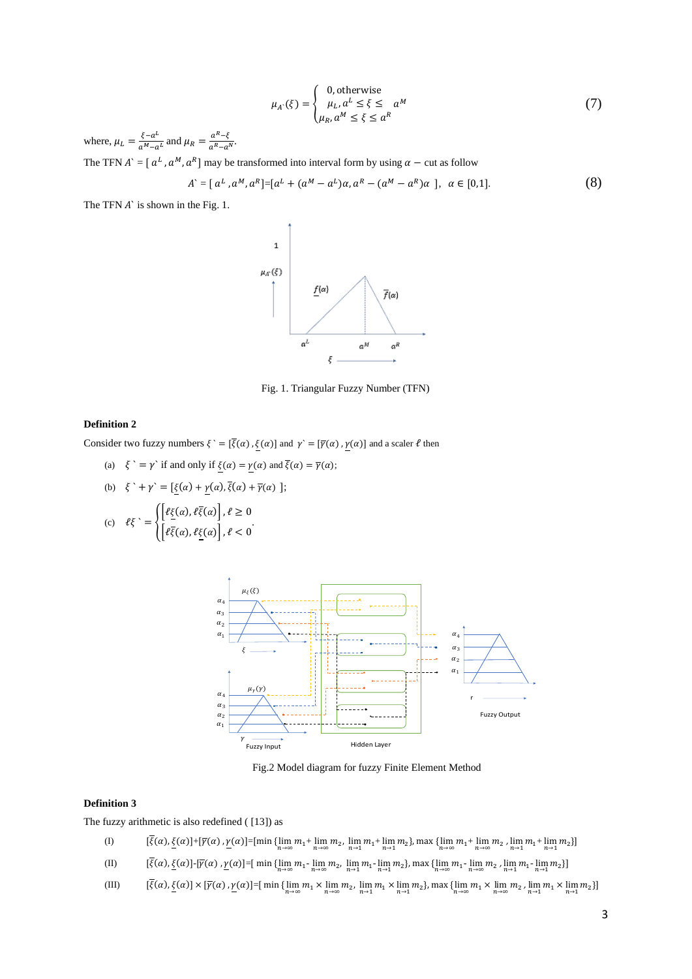$$
\mu_A(\xi) = \begin{cases} 0, \text{otherwise} \\ \mu_L, a^L \le \xi \le a^M \\ \mu_R, a^M \le \xi \le a^R \end{cases}
$$
 (7)

where,  $\mu_L = \frac{\xi - a^L}{a^M - a^L}$  $\frac{\xi - a^L}{a^M - a^L}$  and  $\mu_R = \frac{a^R - \xi}{a^R - a^L}$  $\frac{a}{a^R - a^N}.$ 

The TFN  $A^{\dagger} = [ a^L, a^M, a^R ]$  may be transformed into interval form by using  $\alpha$  – cut as follow

$$
A^{\cdot} = [ a^{L}, a^{M}, a^{R} ] = [ a^{L} + (a^{M} - a^{L}) \alpha, a^{R} - (a^{M} - a^{R}) \alpha ], \alpha \in [0,1].
$$
 (8)

The TFN  $\vec{A}$  is shown in the Fig. 1.



Fig. 1. Triangular Fuzzy Number (TFN)

### **Definition 2**

Consider two fuzzy numbers  $\xi = [\overline{\xi}(\alpha), \underline{\xi}(\alpha)]$  and  $\gamma = [\overline{\gamma}(\alpha), \underline{\gamma}(\alpha)]$  and a scaler  $\ell$  then

(a)  $\xi' = \gamma'$  if and only if  $\xi(\alpha) = \gamma(\alpha)$  and  $\overline{\xi}(\alpha) = \overline{\gamma}(\alpha);$ 

(b) 
$$
\xi' + \gamma' = [\xi(\alpha) + \underline{\gamma}(\alpha), \overline{\xi}(\alpha) + \overline{\gamma}(\alpha)]
$$
;

(c) 
$$
\ell\xi
$$
 = 
$$
\begin{cases} [\ell\xi(\alpha), \ell\xi(\alpha)], \ell \geq 0 \\ [\ell\xi(\alpha), \ell\xi(\alpha)], \ell < 0 \end{cases}
$$



Fig.2 Model diagram for fuzzy Finite Element Method

### **Definition 3**

The fuzzy arithmetic is also redefined ( [13]) as

- (I)  $[\xi(\alpha), \underline{\xi}(\alpha)] + [\overline{\gamma}(\alpha), \underline{\gamma}(\alpha)] = [\min \{ \lim_{n \to \infty} m_1 + \lim_{n \to \infty} m_2, \lim_{n \to 1} m_1 + \lim_{n \to 1} m_2 \}, \max \{ \lim_{n \to \infty} m_1 + \lim_{n \to \infty} m_2, \lim_{n \to 1} m_1 + \lim_{n \to 1} m_2 \}]$
- (II)  $[\xi(\alpha), \underline{\xi}(\alpha)]$ -[ $\overline{\gamma}(\alpha)$ ,  $\underline{\gamma}(\alpha)$ ]=[ $\min\{\lim_{n\to\infty} m_1\text{-}\lim_{n\to\infty} m_2, \lim_{n\to 1} m_1\text{-}\lim_{n\to 1} m_2\}$ ],  $\max\{\lim_{n\to\infty} m_1\text{-}\lim_{n\to\infty} m_2, \lim_{n\to 1} m_1\text{-}\lim_{n\to 1} m_2\}$ ]
- (III)  $[\xi(\alpha), \underline{\xi}(\alpha)] \times [\overline{\gamma}(\alpha), \underline{\gamma}(\alpha)] = [\min{\{\lim_{n \to \infty} m_1 \times \lim_{n \to \infty} m_2, \lim_{n \to 1} m_1 \times \lim_{n \to 1} m_2\}, \max{\{\lim_{n \to \infty} m_1 \times \lim_{n \to 1} m_1 \times \lim_{n \to 1} m_2\}}]$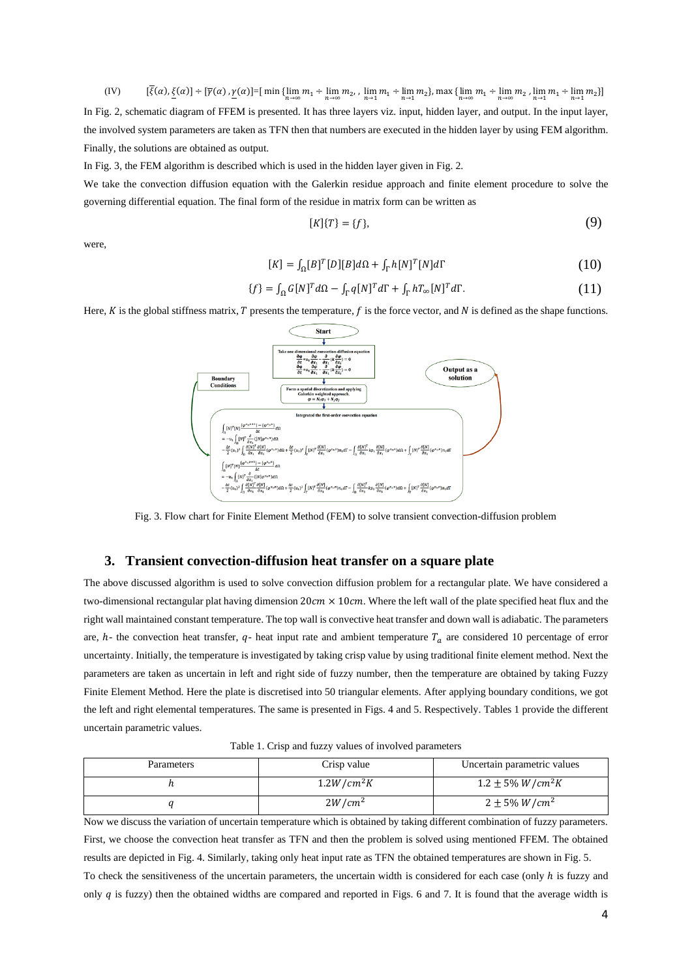(IV)  $[\xi(\alpha), \underline{\xi}(\alpha)] \div [\overline{\gamma}(\alpha), \underline{\gamma}(\alpha)] = [\min{\{\lim_{n \to \infty} m_1 \div \lim_{n \to \infty} m_2, \lim_{n \to 1} m_1 \div \lim_{n \to 1} m_2\}, \max{\{\lim_{n \to \infty} m_1 \div \lim_{n \to 1} m_1 \div \lim_{n \to 1} m_2\}}]$ In Fig. 2, schematic diagram of FFEM is presented. It has three layers viz. input, hidden layer, and output. In the input layer, the involved system parameters are taken as TFN then that numbers are executed in the hidden layer by using FEM algorithm. Finally, the solutions are obtained as output.

In Fig. 3, the FEM algorithm is described which is used in the hidden layer given in Fig. 2.

We take the convection diffusion equation with the Galerkin residue approach and finite element procedure to solve the governing differential equation. The final form of the residue in matrix form can be written as

$$
[K]\{T\} = \{f\},\tag{9}
$$

were,

$$
[K] = \int_{\Omega} [B]^T [D] [B] d\Omega + \int_{\Gamma} h [N]^T [N] d\Gamma \tag{10}
$$

$$
\{f\} = \int_{\Omega} G[N]^T d\Omega - \int_{\Gamma} q[N]^T d\Gamma + \int_{\Gamma} hT_{\infty}[N]^T d\Gamma.
$$
 (11)

Here,  $K$  is the global stiffness matrix,  $T$  presents the temperature,  $f$  is the force vector, and  $N$  is defined as the shape functions.



Fig. 3. Flow chart for Finite Element Method (FEM) to solve transient convection-diffusion problem

#### **3. Transient convection-diffusion heat transfer on a square plate**

The above discussed algorithm is used to solve convection diffusion problem for a rectangular plate. We have considered a two-dimensional rectangular plat having dimension  $20 \text{cm} \times 10 \text{cm}$ . Where the left wall of the plate specified heat flux and the right wall maintained constant temperature. The top wall is convective heat transfer and down wall is adiabatic. The parameters are,  $h$ - the convection heat transfer,  $q$ - heat input rate and ambient temperature  $T_a$  are considered 10 percentage of error uncertainty. Initially, the temperature is investigated by taking crisp value by using traditional finite element method. Next the parameters are taken as uncertain in left and right side of fuzzy number, then the temperature are obtained by taking Fuzzy Finite Element Method. Here the plate is discretised into 50 triangular elements. After applying boundary conditions, we got the left and right elemental temperatures. The same is presented in Figs. 4 and 5. Respectively. Tables 1 provide the different uncertain parametric values.

|  |  |  |  |  | Table 1. Crisp and fuzzy values of involved parameters |
|--|--|--|--|--|--------------------------------------------------------|
|--|--|--|--|--|--------------------------------------------------------|

| <b>Parameters</b> | Crisp value  | Uncertain parametric values |
|-------------------|--------------|-----------------------------|
|                   | $1.2W/cm^2K$ | $1.2 \pm 5\% W/cm^2 K$      |
|                   | $2W/cm^2$    | $2 \pm 5\% W/cm^2$          |

Now we discuss the variation of uncertain temperature which is obtained by taking different combination of fuzzy parameters. First, we choose the convection heat transfer as TFN and then the problem is solved using mentioned FFEM. The obtained results are depicted in Fig. 4. Similarly, taking only heat input rate as TFN the obtained temperatures are shown in Fig. 5. To check the sensitiveness of the uncertain parameters, the uncertain width is considered for each case (only  $h$  is fuzzy and only  $q$  is fuzzy) then the obtained widths are compared and reported in Figs. 6 and 7. It is found that the average width is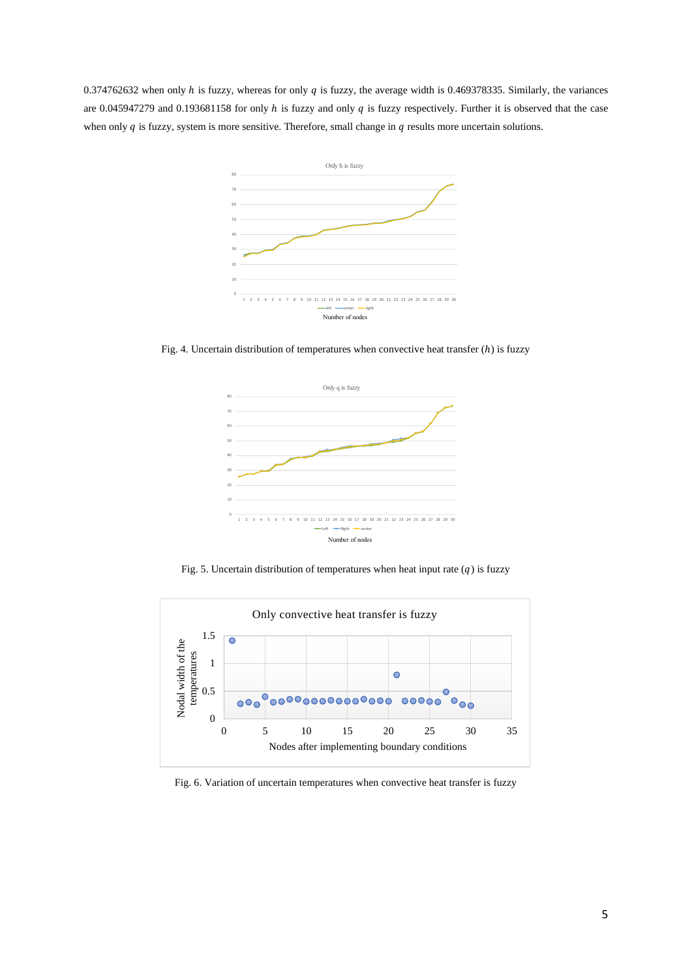0.374762632 when only  $h$  is fuzzy, whereas for only  $q$  is fuzzy, the average width is 0.469378335. Similarly, the variances are 0.045947279 and 0.193681158 for only  $h$  is fuzzy and only  $q$  is fuzzy respectively. Further it is observed that the case when only  $q$  is fuzzy, system is more sensitive. Therefore, small change in  $q$  results more uncertain solutions.



Fig. 4. Uncertain distribution of temperatures when convective heat transfer  $(h)$  is fuzzy



Fig. 5. Uncertain distribution of temperatures when heat input rate  $(q)$  is fuzzy



Fig. 6. Variation of uncertain temperatures when convective heat transfer is fuzzy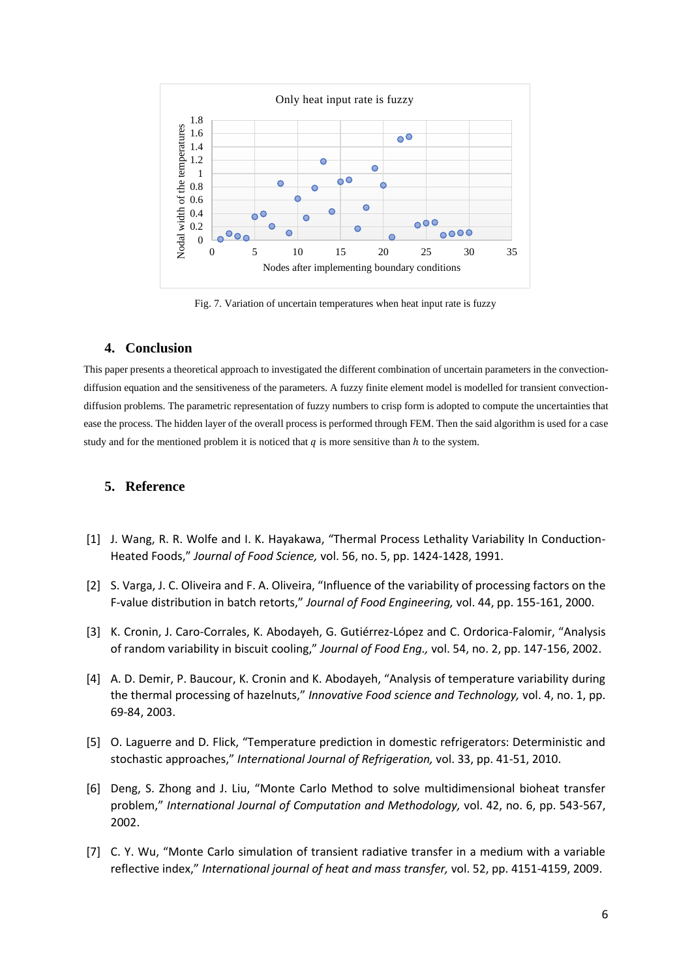

Fig. 7. Variation of uncertain temperatures when heat input rate is fuzzy

# **4. Conclusion**

This paper presents a theoretical approach to investigated the different combination of uncertain parameters in the convectiondiffusion equation and the sensitiveness of the parameters. A fuzzy finite element model is modelled for transient convectiondiffusion problems. The parametric representation of fuzzy numbers to crisp form is adopted to compute the uncertainties that ease the process. The hidden layer of the overall process is performed through FEM. Then the said algorithm is used for a case study and for the mentioned problem it is noticed that  $q$  is more sensitive than  $h$  to the system.

# **5. Reference**

- [1] J. Wang, R. R. Wolfe and I. K. Hayakawa, "Thermal Process Lethality Variability In Conductionoo s," *Journal of Food Science,* vol. 56, no. 5, pp. 1424-1428, 1991.
- [2] S. Varga, J. C. Oliveira and F. A. Oliveira, "Influence of the variability of processing factors on the F-value distribution in batch retorts," Journal of Food Engineering, vol. 44, pp. 155-161, 2000.
- [3] K. Cronin, J. Caro-Corrales, K. Abodayeh, G. Gutiérrez-López and C. Ordorica-Falomir, "Analysis of random variability in biscuit cooling," Journal of Food Eng., vol. 54, no. 2, pp. 147-156, 2002.
- [4] A. D. Demir, P. Baucour, K. Cronin and K. Abodayeh, "Analysis of temperature variability during the thermal processing of hazelnuts," Innovative Food science and Technology, vol. 4, no. 1, pp. 69-84, 2003.
- [5] O. Laguerre and D. Flick, "Temperature prediction in domestic refrigerators: Deterministic and stochastic approaches," *International Journal of Refrigeration*, vol. 33, pp. 41-51, 2010.
- [6] Deng, S. Zhong and J. Liu, "Monte Carlo Method to solve multidimensional bioheat transfer problem," International Journal of Computation and Methodology, vol. 42, no. 6, pp. 543-567, 2002.
- [7] C. Y. Wu, "Monte Carlo simulation of transient radiative transfer in a medium with a variable reflective index," *International journal of heat and mass transfer, vol.* 52, pp. 4151-4159, 2009.